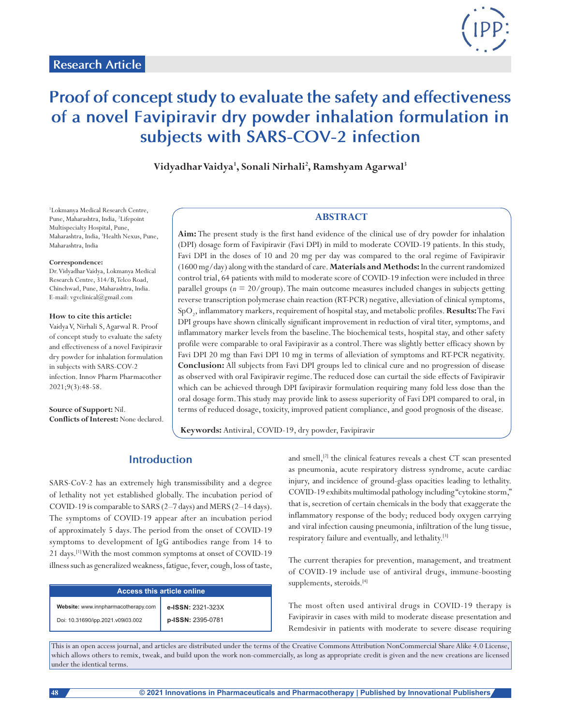

# **Proof of concept study to evaluate the safety and effectiveness of a novel Favipiravir dry powder inhalation formulation in subjects with SARS-COV-2 infection**

**Vidyadhar Vaidya1 , Sonali Nirhali2 , Ramshyam Agarwal3**

1 Lokmanya Medical Research Centre, Pune, Maharashtra, India, <sup>2</sup>Lifepoint Multispecialty Hospital, Pune, Maharashtra, India, 3 Health Nexus, Pune, Maharashtra, India

#### **Correspondence:**

Dr.Vidyadhar Vaidya, Lokmanya Medical Research Centre, 314/B, Telco Road, Chinchwad, Pune, Maharashtra, India. E-mail: vgvclinical@gmail.com

#### **How to cite this article:**

Vaidya V, Nirhali S, Agarwal R. Proof of concept study to evaluate the safety and effectiveness of a novel Favipiravir dry powder for inhalation formulation in subjects with SARS-COV-2 infection. Innov Pharm Pharmacother 2021;9(3):48-58.

**Source of Support:** Nil. **Conflicts of Interest:** None declared.

## **ABSTRACT**

**Aim:** The present study is the first hand evidence of the clinical use of dry powder for inhalation (DPI) dosage form of Favipiravir (Favi DPI) in mild to moderate COVID-19 patients. In this study, Favi DPI in the doses of 10 and 20 mg per day was compared to the oral regime of Favipiravir (1600 mg/day) along with the standard of care. **Materials and Methods:** In the current randomized control trial, 64 patients with mild to moderate score of COVID-19 infection were included in three parallel groups (*n* = 20/group). The main outcome measures included changes in subjects getting reverse transcription polymerase chain reaction (RT-PCR) negative, alleviation of clinical symptoms, SpO2 , inflammatory markers, requirement of hospital stay, and metabolic profiles. **Results:** The Favi DPI groups have shown clinically significant improvement in reduction of viral titer, symptoms, and inflammatory marker levels from the baseline. The biochemical tests, hospital stay, and other safety profile were comparable to oral Favipiravir as a control. There was slightly better efficacy shown by Favi DPI 20 mg than Favi DPI 10 mg in terms of alleviation of symptoms and RT-PCR negativity. **Conclusion:** All subjects from Favi DPI groups led to clinical cure and no progression of disease as observed with oral Favipiravir regime. The reduced dose can curtail the side effects of Favipiravir which can be achieved through DPI favipiravir formulation requiring many fold less dose than the oral dosage form. This study may provide link to assess superiority of Favi DPI compared to oral, in terms of reduced dosage, toxicity, improved patient compliance, and good prognosis of the disease.

**Keywords:** Antiviral, COVID-19, dry powder, Favipiravir

## **Introduction**

SARS-CoV-2 has an extremely high transmissibility and a degree of lethality not yet established globally. The incubation period of COVID-19 is comparable to SARS (2–7 days) and MERS (2–14 days). The symptoms of COVID-19 appear after an incubation period of approximately 5 days. The period from the onset of COVID-19 symptoms to development of IgG antibodies range from 14 to 21 days.[1] With the most common symptoms at onset of COVID-19 illness such as generalized weakness, fatigue, fever, cough, loss of taste,

| <b>Access this article online</b>   |                   |  |  |
|-------------------------------------|-------------------|--|--|
| Website: www.innpharmacotherapy.com | e-ISSN: 2321-323X |  |  |
| Doi: 10.31690/ipp.2021.v09i03.002   | p-ISSN: 2395-0781 |  |  |

and smell,<sup>[2]</sup> the clinical features reveals a chest CT scan presented as pneumonia, acute respiratory distress syndrome, acute cardiac injury, and incidence of ground-glass opacities leading to lethality. COVID-19 exhibits multimodal pathology including "cytokine storm," that is, secretion of certain chemicals in the body that exaggerate the inflammatory response of the body; reduced body oxygen carrying and viral infection causing pneumonia, infiltration of the lung tissue, respiratory failure and eventually, and lethality.[3]

The current therapies for prevention, management, and treatment of COVID-19 include use of antiviral drugs, immune-boosting supplements, steroids.<sup>[4]</sup>

The most often used antiviral drugs in COVID-19 therapy is Favipiravir in cases with mild to moderate disease presentation and Remdesivir in patients with moderate to severe disease requiring

This is an open access journal, and articles are distributed under the terms of the Creative Commons Attribution NonCommercial Share Alike 4.0 License, which allows others to remix, tweak, and build upon the work non-commercially, as long as appropriate credit is given and the new creations are licensed under the identical terms.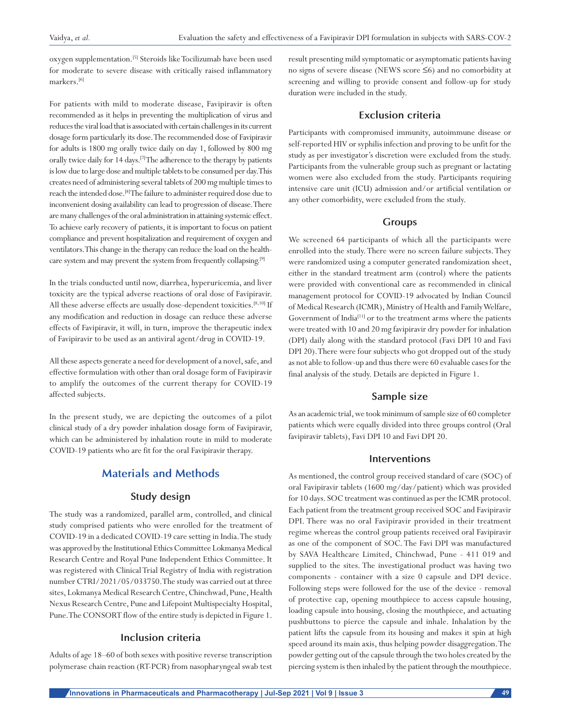oxygen supplementation.[5] Steroids like Tocilizumab have been used for moderate to severe disease with critically raised inflammatory markers.<sup>[6]</sup>

For patients with mild to moderate disease, Favipiravir is often recommended as it helps in preventing the multiplication of virus and reduces the viral load that is associated with certain challenges in its current dosage form particularly its dose. The recommended dose of Favipiravir for adults is 1800 mg orally twice daily on day 1, followed by 800 mg orally twice daily for 14 days.<sup>[7]</sup> The adherence to the therapy by patients is low due to large dose and multiple tablets to be consumed per day. This creates need of administering several tablets of 200 mg multiple times to reach the intended dose.[8] The failure to administer required dose due to inconvenient dosing availability can lead to progression of disease. There are many challenges of the oral administration in attaining systemic effect. To achieve early recovery of patients, it is important to focus on patient compliance and prevent hospitalization and requirement of oxygen and ventilators. This change in the therapy can reduce the load on the healthcare system and may prevent the system from frequently collapsing.[9]

In the trials conducted until now, diarrhea, hyperuricemia, and liver toxicity are the typical adverse reactions of oral dose of Favipiravir. All these adverse effects are usually dose-dependent toxicities.<sup>[8,10]</sup> If any modification and reduction in dosage can reduce these adverse effects of Favipiravir, it will, in turn, improve the therapeutic index of Favipiravir to be used as an antiviral agent/drug in COVID-19.

All these aspects generate a need for development of a novel, safe, and effective formulation with other than oral dosage form of Favipiravir to amplify the outcomes of the current therapy for COVID-19 affected subjects.

In the present study, we are depicting the outcomes of a pilot clinical study of a dry powder inhalation dosage form of Favipiravir, which can be administered by inhalation route in mild to moderate COVID-19 patients who are fit for the oral Favipiravir therapy.

## **Materials and Methods**

## **Study design**

The study was a randomized, parallel arm, controlled, and clinical study comprised patients who were enrolled for the treatment of COVID-19 in a dedicated COVID-19 care setting in India. The study was approved by the Institutional Ethics Committee Lokmanya Medical Research Centre and Royal Pune Independent Ethics Committee. It was registered with Clinical Trial Registry of India with registration number CTRI/2021/05/033750. The study was carried out at three sites, Lokmanya Medical Research Centre, Chinchwad, Pune, Health Nexus Research Centre, Pune and Lifepoint Multispecialty Hospital, Pune. The CONSORT flow of the entire study is depicted in Figure 1.

#### **Inclusion criteria**

Adults of age 18–60 of both sexes with positive reverse transcription polymerase chain reaction (RT-PCR) from nasopharyngeal swab test result presenting mild symptomatic or asymptomatic patients having no signs of severe disease (NEWS score ≤6) and no comorbidity at screening and willing to provide consent and follow-up for study duration were included in the study.

#### **Exclusion criteria**

Participants with compromised immunity, autoimmune disease or self-reported HIV or syphilis infection and proving to be unfit for the study as per investigator's discretion were excluded from the study. Participants from the vulnerable group such as pregnant or lactating women were also excluded from the study. Participants requiring intensive care unit (ICU) admission and/or artificial ventilation or any other comorbidity, were excluded from the study.

#### **Groups**

We screened 64 participants of which all the participants were enrolled into the study. There were no screen failure subjects. They were randomized using a computer generated randomization sheet, either in the standard treatment arm (control) where the patients were provided with conventional care as recommended in clinical management protocol for COVID-19 advocated by Indian Council of Medical Research (ICMR), Ministry of Health and Family Welfare, Government of India<sup>[11]</sup> or to the treatment arms where the patients were treated with 10 and 20 mg favipiravir dry powder for inhalation (DPI) daily along with the standard protocol (Favi DPI 10 and Favi DPI 20). There were four subjects who got dropped out of the study as not able to follow-up and thus there were 60 evaluable cases for the final analysis of the study. Details are depicted in Figure 1.

#### **Sample size**

As an academic trial, we took minimum of sample size of 60 completer patients which were equally divided into three groups control (Oral favipiravir tablets), Favi DPI 10 and Favi DPI 20.

#### **Interventions**

As mentioned, the control group received standard of care (SOC) of oral Favipiravir tablets (1600 mg/day/patient) which was provided for 10 days. SOC treatment was continued as per the ICMR protocol. Each patient from the treatment group received SOC and Favipiravir DPI. There was no oral Favipiravir provided in their treatment regime whereas the control group patients received oral Favipiravir as one of the component of SOC. The Favi DPI was manufactured by SAVA Healthcare Limited, Chinchwad, Pune - 411 019 and supplied to the sites. The investigational product was having two components - container with a size 0 capsule and DPI device. Following steps were followed for the use of the device - removal of protective cap, opening mouthpiece to access capsule housing, loading capsule into housing, closing the mouthpiece, and actuating pushbuttons to pierce the capsule and inhale. Inhalation by the patient lifts the capsule from its housing and makes it spin at high speed around its main axis, thus helping powder disaggregation. The powder getting out of the capsule through the two holes created by the piercing system is then inhaled by the patient through the mouthpiece.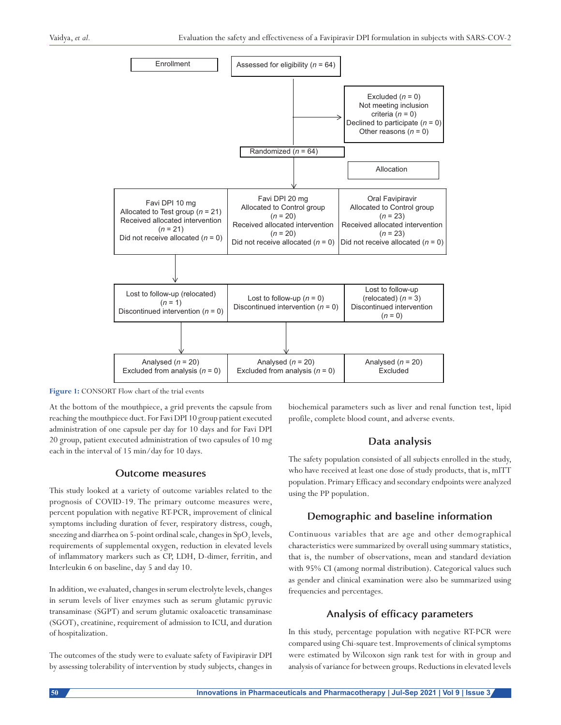

**Figure 1:** CONSORT Flow chart of the trial events

At the bottom of the mouthpiece, a grid prevents the capsule from reaching the mouthpiece duct. For Favi DPI 10 group patient executed administration of one capsule per day for 10 days and for Favi DPI 20 group, patient executed administration of two capsules of 10 mg each in the interval of 15 min/day for 10 days.

#### **Outcome measures**

This study looked at a variety of outcome variables related to the prognosis of COVID-19. The primary outcome measures were, percent population with negative RT-PCR, improvement of clinical symptoms including duration of fever, respiratory distress, cough, sneezing and diarrhea on 5-point ordinal scale, changes in  $\mathrm{SpO}_2$  levels, requirements of supplemental oxygen, reduction in elevated levels of inflammatory markers such as CP, LDH, D-dimer, ferritin, and Interleukin 6 on baseline, day 5 and day 10.

In addition, we evaluated, changes in serum electrolyte levels, changes in serum levels of liver enzymes such as serum glutamic pyruvic transaminase (SGPT) and serum glutamic oxaloacetic transaminase (SGOT), creatinine, requirement of admission to ICU, and duration of hospitalization.

The outcomes of the study were to evaluate safety of Favipiravir DPI by assessing tolerability of intervention by study subjects, changes in biochemical parameters such as liver and renal function test, lipid profile, complete blood count, and adverse events.

## **Data analysis**

The safety population consisted of all subjects enrolled in the study, who have received at least one dose of study products, that is, mITT population. Primary Efficacy and secondary endpoints were analyzed using the PP population.

## **Demographic and baseline information**

Continuous variables that are age and other demographical characteristics were summarized by overall using summary statistics, that is, the number of observations, mean and standard deviation with 95% CI (among normal distribution). Categorical values such as gender and clinical examination were also be summarized using frequencies and percentages.

## **Analysis of efficacy parameters**

In this study, percentage population with negative RT-PCR were compared using Chi-square test. Improvements of clinical symptoms were estimated by Wilcoxon sign rank test for with in group and analysis of variance for between groups. Reductions in elevated levels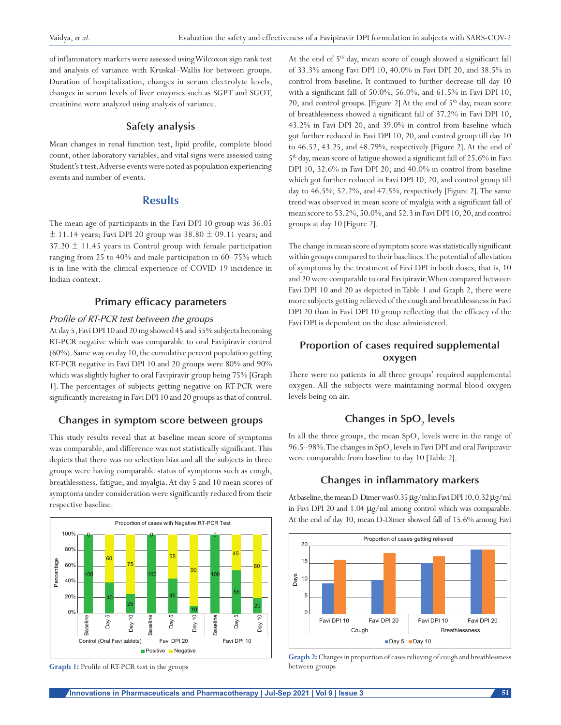of inflammatory markers were assessed using Wilcoxon sign rank test and analysis of variance with Kruskal–Wallis for between groups. Duration of hospitalization, changes in serum electrolyte levels, changes in serum levels of liver enzymes such as SGPT and SGOT, creatinine were analyzed using analysis of variance.

#### **Safety analysis**

Mean changes in renal function test, lipid profile, complete blood count, other laboratory variables, and vital signs were assessed using Student's t test. Adverse events were noted as population experiencing events and number of events.

## **Results**

The mean age of participants in the Favi DPI 10 group was 36.05  $±$  11.14 years; Favi DPI 20 group was 38.80  $±$  09.11 years; and  $37.20 \pm 11.45$  years in Control group with female participation ranging from 25 to 40% and male participation in 60–75% which is in line with the clinical experience of COVID-19 incidence in Indian context.

## **Primary efficacy parameters**

#### *Profile of RT-PCR test between the groups*

At day 5, Favi DPI 10 and 20mg showed 45 and 55% subjects becoming RT-PCR negative which was comparable to oral Favipiravir control (60%). Same way on day 10, the cumulative percent population getting RT-PCR negative in Favi DPI 10 and 20 groups were 80% and 90% which was slightly higher to oral Favipiravir group being 75% [Graph 1]. The percentages of subjects getting negative on RT-PCR were significantly increasing in Favi DPI 10 and 20 groups as that of control.

#### **Changes in symptom score between groups**

This study results reveal that at baseline mean score of symptoms was comparable, and difference was not statistically significant. This depicts that there was no selection bias and all the subjects in three groups were having comparable status of symptoms such as cough, breathlessness, fatigue, and myalgia. At day 5 and 10 mean scores of symptoms under consideration were significantly reduced from their respective baseline.



**Graph 1:** Profile of RT-PCR test in the groups

At the end of  $5<sup>th</sup>$  day, mean score of cough showed a significant fall of 33.3% among Favi DPI 10, 40.0% in Favi DPI 20, and 38.5% in control from baseline. It continued to further decrease till day 10 with a significant fall of 50.0%, 56.0%, and 61.5% in Favi DPI 10, 20, and control groups. [Figure 2] At the end of  $5<sup>th</sup>$  day, mean score of breathlessness showed a significant fall of 37.2% in Favi DPI 10, 43.2% in Favi DPI 20, and 39.0% in control from baseline which got further reduced in Favi DPI 10, 20, and control group till day 10 to 46.52, 43.25, and 48.79%, respectively [Figure 2]. At the end of 5th day, mean score of fatigue showed a significant fall of 25.6% in Favi DPI 10, 32.6% in Favi DPI 20, and 40.0% in control from baseline which got further reduced in Favi DPI 10, 20, and control group till day to 46.5%, 52.2%, and 47.5%, respectively [Figure 2]. The same trend was observed in mean score of myalgia with a significant fall of mean score to 53.2%, 50.0%, and 52.3 in Favi DPI 10, 20, and control groups at day 10 [Figure 2].

The change in mean score of symptom score was statistically significant within groups compared to their baselines. The potential of alleviation of symptoms by the treatment of Favi DPI in both doses, that is, 10 and 20 were comparable to oral Favipiravir. When compared between Favi DPI 10 and 20 as depicted in Table 1 and Graph 2, there were more subjects getting relieved of the cough and breathlessness in Favi DPI 20 than in Favi DPI 10 group reflecting that the efficacy of the Favi DPI is dependent on the dose administered.

## **Proportion of cases required supplemental oxygen**

There were no patients in all three groups' required supplemental oxygen. All the subjects were maintaining normal blood oxygen levels being on air.

## **Changes in SpO<sub>2</sub> levels**

In all the three groups, the mean  $\mathrm{SpO}_2$  levels were in the range of 96.5–98%. The changes in  ${\rm SpO}_2$  levels in Favi DPI and oral Favipiravir were comparable from baseline to day 10 [Table 2].

#### **Changes in inflammatory markers**

At baseline, the mean D-Dimer was 0.35µg/ml in Favi DPI 10, 0.32µg/ml in Favi DPI 20 and 1.04 µg/ml among control which was comparable. At the end of day 10, mean D-Dimer showed fall of 15.6% among Favi



**Graph 2:** Changes in proportion of cases relieving of cough and breathlessness between groups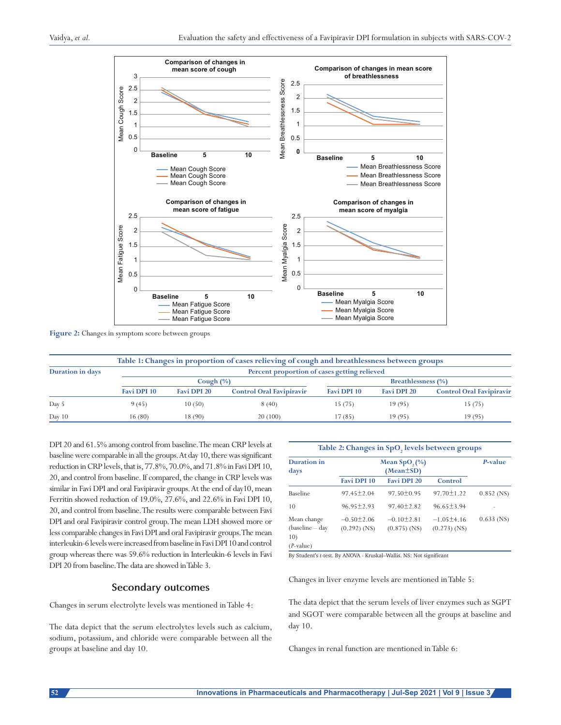

#### **Figure 2:** Changes in symptom score between groups

|                         | Table 1: Changes in proportion of cases relieving of cough and breathlessness between groups |                    |                                 |                           |                    |                                 |  |
|-------------------------|----------------------------------------------------------------------------------------------|--------------------|---------------------------------|---------------------------|--------------------|---------------------------------|--|
| <b>Duration in days</b> | Percent proportion of cases getting relieved                                                 |                    |                                 |                           |                    |                                 |  |
|                         | Cough $(\%)$                                                                                 |                    |                                 | <b>Breathlessness</b> (%) |                    |                                 |  |
|                         | Favi DPI 10                                                                                  | <b>Favi DPI 20</b> | <b>Control Oral Favipiravir</b> | Favi DPI 10               | <b>Favi DPI 20</b> | <b>Control Oral Favipiravir</b> |  |
| Day 5                   | 9(45)                                                                                        | 10(50)             | 8(40)                           | 15(75)                    | 19(95)             | 15(75)                          |  |
| Day $10$                | 16 (80)                                                                                      | 18 (90)            | 20 (100)                        | 17(85)                    | 19(95)             | 19(95)                          |  |

DPI 20 and 61.5% among control from baseline. The mean CRP levels at baseline were comparable in all the groups. At day 10, there was significant reduction in CRP levels, that is, 77.8%, 70.0%, and 71.8% in Favi DPI 10, 20, and control from baseline. If compared, the change in CRP levels was similar in Favi DPI and oral Favipiravir groups. At the end of day10, mean Ferritin showed reduction of 19.0%, 27.6%, and 22.6% in Favi DPI 10, 20, and control from baseline. The results were comparable between Favi DPI and oral Favipiravir control group. The mean LDH showed more or less comparable changes in Favi DPI and oral Favipiravir groups. The mean interleukin-6 levels were increased from baseline in Favi DPI 10 and control group whereas there was 59.6% reduction in Interleukin-6 levels in Favi DPI 20 from baseline. The data are showed in Table 3.

#### **Secondary outcomes**

Changes in serum electrolyte levels was mentioned in Table 4:

The data depict that the serum electrolytes levels such as calcium, sodium, potassium, and chloride were comparable between all the groups at baseline and day 10.

| <b>Duration</b> in<br>days                           | Mean $SpO(%)$                      | P-value                          |                                |              |
|------------------------------------------------------|------------------------------------|----------------------------------|--------------------------------|--------------|
|                                                      | Favi DPI 10                        | <b>Favi DPI 20</b>               | Control                        |              |
| Baseline                                             | $97.45 \pm 2.04$                   | $97.50 \pm 0.95$                 | $97.70 \pm 1.22$               | $0.852$ (NS) |
| 10                                                   | $96.95 + 2.93$                     | $97.40 \pm 2.82$                 | $96.65 + 3.94$                 |              |
| Mean change<br>(baseline - day<br>10)<br>$(P-value)$ | $-0.50 \pm 2.06$<br>$(0.292)$ (NS) | $-0.10 + 2.81$<br>$(0.875)$ (NS) | $-1.05+4.16$<br>$(0.273)$ (NS) | $0.633$ (NS) |

By Student's *t‑*test. By ANOVA ‑ Kruskal–Wallis. NS: Not significant

Changes in liver enzyme levels are mentioned in Table 5:

The data depict that the serum levels of liver enzymes such as SGPT and SGOT were comparable between all the groups at baseline and day 10.

Changes in renal function are mentioned in Table 6: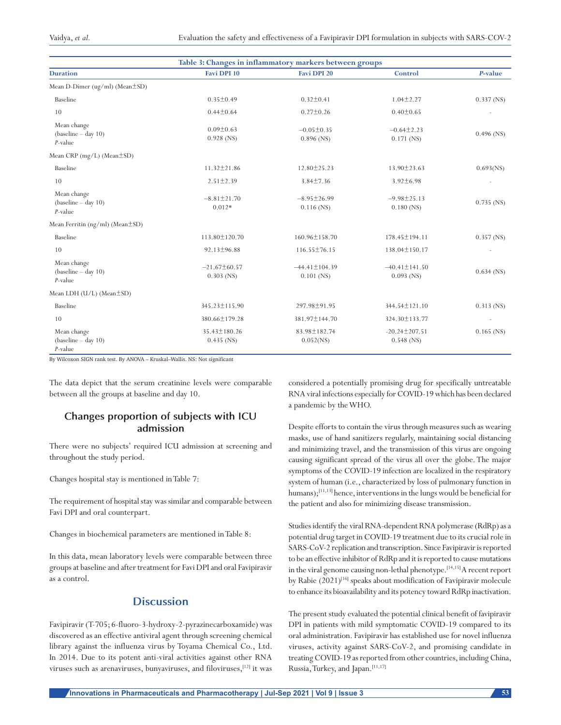| Table 3: Changes in inflammatory markers between groups |                                   |                                     |                                     |                          |  |
|---------------------------------------------------------|-----------------------------------|-------------------------------------|-------------------------------------|--------------------------|--|
| <b>Duration</b>                                         | <b>Favi DPI 10</b>                | <b>Favi DPI 20</b>                  | Control                             | P-value                  |  |
| Mean D-Dimer (ug/ml) (Mean±SD)                          |                                   |                                     |                                     |                          |  |
| Baseline                                                | $0.35 \pm 0.49$                   | $0.32 \pm 0.41$                     | $1.04 \pm 2.27$                     | $0.337$ (NS)             |  |
| 10                                                      | $0.44 \pm 0.64$                   | $0.27 \pm 0.26$                     | $0.40 \pm 0.65$                     |                          |  |
| Mean change<br>$(baseline - day 10)$<br>$P$ -value      | $0.09 \pm 0.63$<br>$0.928$ (NS)   | $-0.05 \pm 0.35$<br>$0.896$ (NS)    | $-0.64 \pm 2.23$<br>$0.171$ (NS)    | $0.496$ (NS)             |  |
| Mean CRP (mg/L) (Mean±SD)                               |                                   |                                     |                                     |                          |  |
| Baseline                                                | $11.32 \pm 21.86$                 | $12.80 \pm 25.23$                   | $13.90 \pm 23.63$                   | $0.693$ (NS)             |  |
| 10                                                      | $2.51 \pm 2.39$                   | $3.84 \pm 7.36$                     | $3.92 \pm 6.98$                     |                          |  |
| Mean change<br>$(baseline - day 10)$<br>$P$ -value      | $-8.81 \pm 21.70$<br>$0.012*$     | $-8.95 \pm 26.99$<br>$0.116$ (NS)   | $-9.98 \pm 25.13$<br>$0.180$ (NS)   | $0.735$ (NS)             |  |
| Mean Ferritin ( $ng/ml$ ) (Mean $\pm SD$ )              |                                   |                                     |                                     |                          |  |
| Baseline                                                | 113.80±120.70                     | 160.96±158.70                       | 178.45 ± 194.11                     | $0.357$ (NS)             |  |
| 10                                                      | $92.13 \pm 96.88$                 | 116.55±76.15                        | 138.04±150.17                       |                          |  |
| Mean change<br>$(baseline - day 10)$<br>$P$ -value      | $-21.67\pm 60.57$<br>$0.303$ (NS) | $-44.41 \pm 104.39$<br>$0.101$ (NS) | $-40.41 \pm 141.50$<br>$0.093$ (NS) | $0.634$ (NS)             |  |
| Mean LDH (U/L) (Mean±SD)                                |                                   |                                     |                                     |                          |  |
| Baseline                                                | 345.23±115.90                     | 297.98±91.95                        | 344.54±121.10                       | $0.313$ (NS)             |  |
| 10                                                      | 380.66±179.28                     | 381.97±144.70                       | 324.30±133.77                       | $\overline{\phantom{a}}$ |  |
| Mean change<br>$(baseline - day 10)$<br>$P$ -value      | 35.43±180.26<br>$0.435$ (NS)      | 83.98±182.74<br>$0.052$ (NS)        | $-20.24 \pm 207.51$<br>$0.548$ (NS) | $0.165$ (NS)             |  |

By Wilcoxon SIGN rank test. By ANOVA – Kruskal–Wallis. NS: Not significant

The data depict that the serum creatinine levels were comparable between all the groups at baseline and day 10.

## **Changes proportion of subjects with ICU admission**

There were no subjects' required ICU admission at screening and throughout the study period.

Changes hospital stay is mentioned in Table 7:

The requirement of hospital stay was similar and comparable between Favi DPI and oral counterpart.

Changes in biochemical parameters are mentioned in Table 8:

In this data, mean laboratory levels were comparable between three groups at baseline and after treatment for Favi DPI and oral Favipiravir as a control.

## **Discussion**

Favipiravir (T-705; 6-fluoro-3-hydroxy-2-pyrazinecarboxamide) was discovered as an effective antiviral agent through screening chemical library against the influenza virus by Toyama Chemical Co., Ltd. In 2014. Due to its potent anti-viral activities against other RNA viruses such as arenaviruses, bunyaviruses, and filoviruses,[12] it was considered a potentially promising drug for specifically untreatable RNA viral infections especially for COVID-19 which has been declared a pandemic by the WHO.

Despite efforts to contain the virus through measures such as wearing masks, use of hand sanitizers regularly, maintaining social distancing and minimizing travel, and the transmission of this virus are ongoing causing significant spread of the virus all over the globe. The major symptoms of the COVID-19 infection are localized in the respiratory system of human (i.e., characterized by loss of pulmonary function in humans);<sup>[11,13]</sup> hence, interventions in the lungs would be beneficial for the patient and also for minimizing disease transmission.

Studies identify the viral RNA-dependent RNA polymerase (RdRp) as a potential drug target in COVID-19 treatment due to its crucial role in SARS-CoV-2 replication and transcription. Since Favipiravir is reported to be an effective inhibitor of RdRp and it is reported to cause mutations in the viral genome causing non-lethal phenotype.[14,15] A recent report by Rabie (2021)<sup>[16]</sup> speaks about modification of Favipiravir molecule to enhance its bioavailability and its potency toward RdRp inactivation.

The present study evaluated the potential clinical benefit of favipiravir DPI in patients with mild symptomatic COVID-19 compared to its oral administration. Favipiravir has established use for novel influenza viruses, activity against SARS-CoV-2, and promising candidate in treating COVID-19 as reported from other countries, including China, Russia, Turkey, and Japan.[11,17]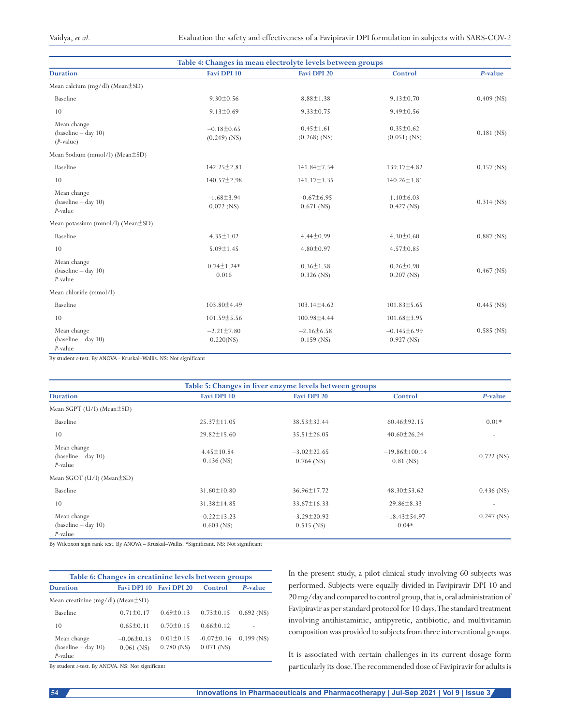| Table 4: Changes in mean electrolyte levels between groups |                                    |                                   |                                   |              |  |
|------------------------------------------------------------|------------------------------------|-----------------------------------|-----------------------------------|--------------|--|
| <b>Duration</b>                                            | Favi DPI 10                        | Favi DPI 20                       | Control                           | P-value      |  |
| Mean calcium (mg/dl) (Mean±SD)                             |                                    |                                   |                                   |              |  |
| Baseline                                                   | $9.30 \pm 0.56$                    | $8.88 \pm 1.38$                   | $9.13 \pm 0.70$                   | $0.409$ (NS) |  |
| 10                                                         | $9.13 \pm 0.69$                    | $9.33 \pm 0.75$                   | $9.49 \pm 0.56$                   |              |  |
| Mean change<br>$(baseline - day 10)$<br>$(P-value)$        | $-0.18 \pm 0.65$<br>$(0.249)$ (NS) | $0.45 \pm 1.61$<br>$(0.268)$ (NS) | $0.35 \pm 0.62$<br>$(0.051)$ (NS) | $0.181$ (NS) |  |
| Mean Sodium (mmol/l) (Mean±SD)                             |                                    |                                   |                                   |              |  |
| Baseline                                                   | $142.25 \pm 2.81$                  | 141.84±7.54                       | 139.17±4.82                       | $0.157$ (NS) |  |
| 10                                                         | 140.57±2.98                        | 141.17±3.35                       | $140.26 \pm 3.81$                 |              |  |
| Mean change<br>$(baseline - day 10)$<br>$P$ -value         | $-1.68 \pm 3.94$<br>$0.072$ (NS)   | $-0.67\pm6.95$<br>$0.671$ (NS)    | $1.10\pm 6.03$<br>$0.427$ (NS)    | $0.314$ (NS) |  |
| Mean potassium (mmol/l) ( $Mean \pm SD$ )                  |                                    |                                   |                                   |              |  |
| Baseline                                                   | $4.35 \pm 1.02$                    | $4.44 \pm 0.99$                   | $4.30 \pm 0.60$                   | $0.887$ (NS) |  |
| 10                                                         | $5.09 \pm 1.45$                    | $4.80 \pm 0.97$                   | $4.57 \pm 0.85$                   |              |  |
| Mean change<br>$(baseline - day 10)$<br>$P$ -value         | $0.74 \pm 1.24*$<br>0.016          | $0.36 \pm 1.58$<br>$0.326$ (NS)   | $0.26 \pm 0.90$<br>$0.207$ (NS)   | $0.467$ (NS) |  |
| Mean chloride (mmol/l)                                     |                                    |                                   |                                   |              |  |
| Baseline                                                   | 103.80±4.49                        | $103.14 \pm 4.62$                 | 101.83±5.65                       | $0.445$ (NS) |  |
| 10                                                         | 101.59±5.56                        | 100.98±4.44                       | 101.68±3.95                       |              |  |
| Mean change<br>$(baseline - day 10)$<br>$P$ -value         | $-2.21 \pm 7.80$<br>0.220(NS)      | $-2.16\pm 6.58$<br>$0.159$ (NS)   | $-0.145\pm 6.99$<br>$0.927$ (NS)  | $0.585$ (NS) |  |

By student *t*‑test. By ANOVA ‑ Kruskal–Wallis. NS: Not significant

| Table 5: Changes in liver enzyme levels between groups |                                   |                                   |                                    |                          |  |  |
|--------------------------------------------------------|-----------------------------------|-----------------------------------|------------------------------------|--------------------------|--|--|
| <b>Duration</b>                                        | Favi DPI 10                       | Favi DPI 20                       | Control                            | P-value                  |  |  |
| Mean SGPT (U/I) (Mean±SD)                              |                                   |                                   |                                    |                          |  |  |
| Baseline                                               | $25.37 \pm 11.05$                 | $38.53 \pm 32.44$                 | $60.46 \pm 92.15$                  | $0.01*$                  |  |  |
| 10                                                     | $29.82 \pm 15.60$                 | $35.51 \pm 26.05$                 | $40.60 \pm 26.24$                  | $\overline{\phantom{a}}$ |  |  |
| Mean change<br>$(baseline - day 10)$<br>$P$ -value     | $4.45 \pm 10.84$<br>$0.136$ (NS)  | $-3.02 \pm 22.65$<br>$0.764$ (NS) | $-19.86 \pm 100.14$<br>$0.81$ (NS) | $0.722$ (NS)             |  |  |
| Mean SGOT (U/I) (Mean±SD)                              |                                   |                                   |                                    |                          |  |  |
| Baseline                                               | $31.60 \pm 10.80$                 | 36.96±17.72                       | $48.30 \pm 53.62$                  | $0.436$ (NS)             |  |  |
| 10                                                     | 31.38±14.85                       | $33.67 \pm 16.33$                 | $29.86 \pm 8.33$                   |                          |  |  |
| Mean change<br>$(baseline - day 10)$<br>$P$ -value     | $-0.22 \pm 13.23$<br>$0.603$ (NS) | $-3.29 \pm 20.92$<br>$0.515$ (NS) | $-18.43\pm54.97$<br>$0.04*$        | $0.247$ (NS)             |  |  |

By Wilcoxon sign rank test. By ANOVA – Kruskal–Wallis. \*Significant. NS: Not significant

| Table 6: Changes in creatinine levels between groups |                                |                                 |                                  |              |  |  |
|------------------------------------------------------|--------------------------------|---------------------------------|----------------------------------|--------------|--|--|
| <b>Duration</b>                                      |                                | Favi DPI 10 Favi DPI 20         | Control                          | P-value      |  |  |
| Mean creatinine (mg/dl) (Mean $\pm$ SD)              |                                |                                 |                                  |              |  |  |
| <b>Baseline</b>                                      | $0.71 \pm 0.17$                | $0.69 \pm 0.13$                 | $0.73 \pm 0.15$                  | $0.692$ (NS) |  |  |
| 10                                                   | $0.65 \pm 0.11$                | $0.70 \pm 0.15$                 | $0.66 \pm 0.12$                  |              |  |  |
| Mean change<br>$(baseline - day 10)$                 | $-0.06\pm0.13$<br>$0.061$ (NS) | $0.01 \pm 0.15$<br>$0.780$ (NS) | $-0.07 \pm 0.16$<br>$0.071$ (NS) | $0.199$ (NS) |  |  |
| P-value                                              |                                |                                 |                                  |              |  |  |

By student *t*‑test. By ANOVA. NS: Not significant

In the present study, a pilot clinical study involving 60 subjects was performed. Subjects were equally divided in Favipiravir DPI 10 and 20mg/day and compared to control group, that is, oral administration of Favipiravir as per standard protocol for 10 days. The standard treatment involving antihistaminic, antipyretic, antibiotic, and multivitamin composition was provided to subjects from three interventional groups.

It is associated with certain challenges in its current dosage form particularly its dose. The recommended dose of Favipiravir for adults is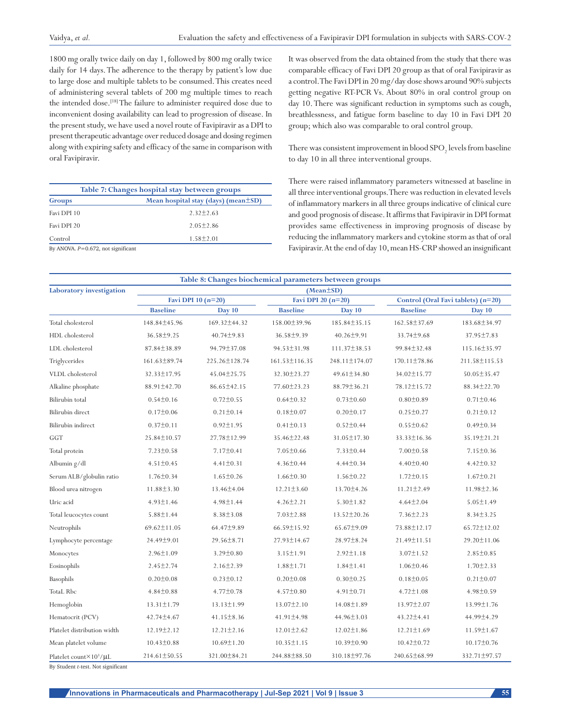1800 mg orally twice daily on day 1, followed by 800 mg orally twice daily for 14 days. The adherence to the therapy by patient's low due to large dose and multiple tablets to be consumed. This creates need of administering several tablets of 200 mg multiple times to reach the intended dose.<sup>[18]</sup> The failure to administer required dose due to inconvenient dosing availability can lead to progression of disease. In the present study, we have used a novel route of Favipiravir as a DPI to present therapeutic advantage over reduced dosage and dosing regimen along with expiring safety and efficacy of the same in comparison with oral Favipiravir.

| Table 7: Changes hospital stay between groups                       |                                           |  |  |  |
|---------------------------------------------------------------------|-------------------------------------------|--|--|--|
| Groups                                                              | Mean hospital stay (days) (mean $\pm$ SD) |  |  |  |
| Favi DPI 10                                                         | $2.32 + 2.63$                             |  |  |  |
| Favi DPI 20                                                         | $2.05 + 2.86$                             |  |  |  |
| Control                                                             | $1.58 + 2.01$                             |  |  |  |
| $\ddot{p}$ interns $\ddot{p}$ and $\ddot{p}$ is a set of $\ddot{p}$ |                                           |  |  |  |

By ANOVA. *P=*0.672, not significant

It was observed from the data obtained from the study that there was comparable efficacy of Favi DPI 20 group as that of oral Favipiravir as a control. The Favi DPI in 20 mg/day dose shows around 90% subjects getting negative RT-PCR Vs. About 80% in oral control group on day 10. There was significant reduction in symptoms such as cough, breathlessness, and fatigue form baseline to day 10 in Favi DPI 20 group; which also was comparable to oral control group.

There was consistent improvement in blood  ${\rm SPO}_2$  levels from baseline to day 10 in all three interventional groups.

There were raised inflammatory parameters witnessed at baseline in all three interventional groups. There was reduction in elevated levels of inflammatory markers in all three groups indicative of clinical cure and good prognosis of disease. It affirms that Favipiravir in DPI format provides same effectiveness in improving prognosis of disease by reducing the inflammatory markers and cytokine storm as that of oral Favipiravir. At the end of day 10, mean HS-CRP showed an insignificant

|                                    |                      | Table 8: Changes biochemical parameters between groups |                     |                      |                    |                                    |  |
|------------------------------------|----------------------|--------------------------------------------------------|---------------------|----------------------|--------------------|------------------------------------|--|
| Laboratory investigation           |                      |                                                        |                     | $(Mean \pm SD)$      |                    |                                    |  |
|                                    | Favi DPI 10 $(n=20)$ |                                                        |                     | Favi DPI 20 $(n=20)$ |                    | Control (Oral Favi tablets) (n=20) |  |
|                                    | <b>Baseline</b>      | Day 10                                                 | <b>Baseline</b>     | Day 10               | <b>Baseline</b>    | Day 10                             |  |
| Total cholesterol                  | 148.84±45.96         | 169.32 ± 44.32                                         | 158.00±39.96        | 185.84±35.15         | 162.58±37.69       | 183.68±34.97                       |  |
| HDL cholesterol                    | 36.58±9.25           | $40.74 \pm 9.83$                                       | 36.58±9.39          | $40.26 \pm 9.91$     | 33.74±9.68         | 37.95 ± 7.83                       |  |
| LDL cholesterol                    | 87.84±38.89          | 94.79±37.08                                            | 94.53±31.98         | 111.37±38.53         | 99.84±32.48        | 115.16±35.97                       |  |
| Triglycerides                      | $161.63 \pm 89.74$   | 225.26±128.74                                          | $161.53 \pm 116.35$ | 248.11±174.07        | $170.11 \pm 78.86$ | 211.58±115.53                      |  |
| VLDL cholesterol                   | 32.33±17.95          | 45.04±25.75                                            | 32.30±23.27         | 49.61±34.80          | 34.02±15.77        | 50.05±35.47                        |  |
| Alkaline phosphate                 | 88.91±42.70          | $86.65 \pm 42.15$                                      | 77.60±23.23         | $88.79 \pm 36.21$    | 78.12±15.72        | 88.34±22.70                        |  |
| Bilirubin total                    | $0.54 \pm 0.16$      | $0.72 \pm 0.55$                                        | $0.64 \pm 0.32$     | $0.73 \pm 0.60$      | $0.80 \pm 0.89$    | $0.71 \pm 0.46$                    |  |
| Bilirubin direct                   | $0.17 \pm 0.06$      | $0.21 \pm 0.14$                                        | $0.18 \pm 0.07$     | $0.20 \pm 0.17$      | $0.25 \pm 0.27$    | $0.21 \pm 0.12$                    |  |
| Bilirubin indirect                 | $0.37 \pm 0.11$      | $0.92 \pm 1.95$                                        | $0.41 \pm 0.13$     | $0.52 \pm 0.44$      | $0.55 \pm 0.62$    | $0.49 \pm 0.34$                    |  |
| GGT                                | 25.84±10.57          | 27.78±12.99                                            | 35.46±22.48         | 31.05 ± 17.30        | 33.33±16.36        | 35.19±21.21                        |  |
| Total protein                      | $7.23 \pm 0.58$      | $7.17 \pm 0.41$                                        | $7.05 \pm 0.66$     | $7.33 \pm 0.44$      | $7.00 \pm 0.58$    | $7.15 \pm 0.36$                    |  |
| Albumin g/dl                       | $4.51 \pm 0.45$      | $4.41 \pm 0.31$                                        | $4.36 \pm 0.44$     | $4.44 \pm 0.34$      | $4.40 \pm 0.40$    | $4.42 \pm 0.32$                    |  |
| Serum ALB/globulin ratio           | $1.76 \pm 0.34$      | $1.65 \pm 0.26$                                        | $1.66 \pm 0.30$     | $1.56 \pm 0.22$      | $1.72 \pm 0.15$    | $1.67 \pm 0.21$                    |  |
| Blood urea nitrogen                | $11.88 \pm 3.30$     | 13.46±4.04                                             | $12.21 \pm 3.60$    | 13.70 ± 4.26         | $11.21 \pm 2.49$   | $11.98 \pm 2.36$                   |  |
| Uric acid                          | $4.93 \pm 1.46$      | $4.98 \pm 1.44$                                        | $4.26 \pm 2.21$     | $5.30 \pm 1.82$      | $4.64 \pm 2.04$    | $5.05 \pm 1.49$                    |  |
| Total leucocytes count             | $5.88 \pm 1.44$      | $8.38 \pm 3.08$                                        | $7.03 \pm 2.88$     | $13.52 \pm 20.26$    | $7.36 \pm 2.23$    | $8.34 \pm 3.25$                    |  |
| Neutrophils                        | 69.62±11.05          | 64.47±9.89                                             | 66.59±15.92         | $65.67 \pm 9.09$     | 73.88±12.17        | 65.72±12.02                        |  |
| Lymphocyte percentage              | 24.49±9.01           | $29.56 \pm 8.71$                                       | 27.93±14.67         | 28.97±8.24           | 21.49±11.51        | 29.20±11.06                        |  |
| Monocytes                          | $2.96 \pm 1.09$      | $3.29 \pm 0.80$                                        | $3.15 \pm 1.91$     | $2.92 \pm 1.18$      | $3.07 \pm 1.52$    | $2.85 \pm 0.85$                    |  |
| Eosinophils                        | $2.45 \pm 2.74$      | $2.16 \pm 2.39$                                        | $1.88 \pm 1.71$     | $1.84 \pm 1.41$      | $1.06 \pm 0.46$    | $1.70 \pm 2.33$                    |  |
| Basophils                          | $0.20 \pm 0.08$      | $0.23 \pm 0.12$                                        | $0.20 \pm 0.08$     | $0.30 \pm 0.25$      | $0.18 \pm 0.05$    | $0.21 \pm 0.07$                    |  |
| <b>TotaL Rbc</b>                   | $4.84 \pm 0.88$      | $4.77 \pm 0.78$                                        | $4.57 \pm 0.80$     | $4.91 \pm 0.71$      | $4.72 \pm 1.08$    | $4.98 \pm 0.59$                    |  |
| Hemoglobin                         | 13.31±1.79           | 13.13±1.99                                             | $13.07 \pm 2.10$    | $14.08 \pm 1.89$     | 13.97±2.07         | 13.99±1.76                         |  |
| Hematocrit (PCV)                   | 42.74±4.67           | $41.15 \pm 8.36$                                       | 41.91±4.98          | 44.96±3.03           | 43.22±4.41         | 44.99±4.29                         |  |
| Platelet distribution width        | $12.19 \pm 2.12$     | $12.21 \pm 2.16$                                       | $12.01 \pm 2.62$    | $12.02 \pm 1.86$     | $12.21 \pm 1.69$   | 11.59±1.67                         |  |
| Mean platelet volume               | $10.43 \pm 0.88$     | $10.69 \pm 1.20$                                       | $10.35 \pm 1.15$    | $10.39 \pm 0.90$     | $10.42 \pm 0.72$   | $10.17 \pm 0.76$                   |  |
| Platelet count $\times 10^3/\mu L$ | $214.61 \pm 50.55$   | 321.00 ± 84.21                                         | 244.88±88.50        | 310.18±97.76         | 240.65 ± 68.99     | 332.71±97.57                       |  |

By Student *t*‑test. Not significant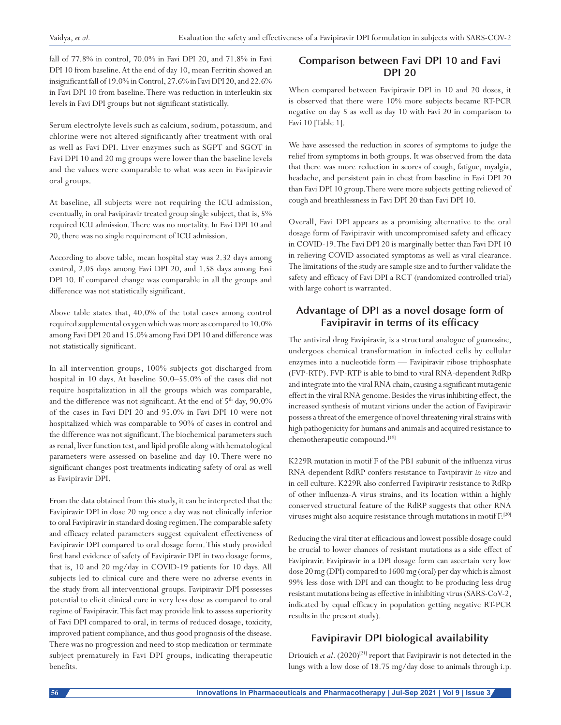fall of 77.8% in control, 70.0% in Favi DPI 20, and 71.8% in Favi DPI 10 from baseline. At the end of day 10, mean Ferritin showed an insignificant fall of 19.0% in Control, 27.6% in Favi DPI 20, and 22.6% in Favi DPI 10 from baseline. There was reduction in interleukin six levels in Favi DPI groups but not significant statistically.

Serum electrolyte levels such as calcium, sodium, potassium, and chlorine were not altered significantly after treatment with oral as well as Favi DPI. Liver enzymes such as SGPT and SGOT in Favi DPI 10 and 20 mg groups were lower than the baseline levels and the values were comparable to what was seen in Favipiravir oral groups.

At baseline, all subjects were not requiring the ICU admission, eventually, in oral Favipiravir treated group single subject, that is, 5% required ICU admission. There was no mortality. In Favi DPI 10 and 20, there was no single requirement of ICU admission.

According to above table, mean hospital stay was 2.32 days among control, 2.05 days among Favi DPI 20, and 1.58 days among Favi DPI 10. If compared change was comparable in all the groups and difference was not statistically significant.

Above table states that, 40.0% of the total cases among control required supplemental oxygen which was more as compared to 10.0% among Favi DPI 20 and 15.0% among Favi DPI 10 and difference was not statistically significant.

In all intervention groups, 100% subjects got discharged from hospital in 10 days. At baseline 50.0–55.0% of the cases did not require hospitalization in all the groups which was comparable, and the difference was not significant. At the end of  $5<sup>th</sup>$  day,  $90.0\%$ of the cases in Favi DPI 20 and 95.0% in Favi DPI 10 were not hospitalized which was comparable to 90% of cases in control and the difference was not significant. The biochemical parameters such as renal, liver function test, and lipid profile along with hematological parameters were assessed on baseline and day 10. There were no significant changes post treatments indicating safety of oral as well as Favipiravir DPI.

From the data obtained from this study, it can be interpreted that the Favipiravir DPI in dose 20 mg once a day was not clinically inferior to oral Favipiravir in standard dosing regimen. The comparable safety and efficacy related parameters suggest equivalent effectiveness of Favipiravir DPI compared to oral dosage form. This study provided first hand evidence of safety of Favipiravir DPI in two dosage forms, that is, 10 and 20 mg/day in COVID-19 patients for 10 days. All subjects led to clinical cure and there were no adverse events in the study from all interventional groups. Favipiravir DPI possesses potential to elicit clinical cure in very less dose as compared to oral regime of Favipiravir. This fact may provide link to assess superiority of Favi DPI compared to oral, in terms of reduced dosage, toxicity, improved patient compliance, and thus good prognosis of the disease. There was no progression and need to stop medication or terminate subject prematurely in Favi DPI groups, indicating therapeutic benefits.

# **Comparison between Favi DPI 10 and Favi DPI 20**

When compared between Favipiravir DPI in 10 and 20 doses, it is observed that there were 10% more subjects became RT-PCR negative on day 5 as well as day 10 with Favi 20 in comparison to Favi 10 [Table 1].

We have assessed the reduction in scores of symptoms to judge the relief from symptoms in both groups. It was observed from the data that there was more reduction in scores of cough, fatigue, myalgia, headache, and persistent pain in chest from baseline in Favi DPI 20 than Favi DPI 10 group. There were more subjects getting relieved of cough and breathlessness in Favi DPI 20 than Favi DPI 10.

Overall, Favi DPI appears as a promising alternative to the oral dosage form of Favipiravir with uncompromised safety and efficacy in COVID-19. The Favi DPI 20 is marginally better than Favi DPI 10 in relieving COVID associated symptoms as well as viral clearance. The limitations of the study are sample size and to further validate the safety and efficacy of Favi DPI a RCT (randomized controlled trial) with large cohort is warranted.

# **Advantage of DPI as a novel dosage form of Favipiravir in terms of its efficacy**

The antiviral drug Favipiravir, is a structural analogue of guanosine, undergoes chemical transformation in infected cells by cellular enzymes into a nucleotide form — Favipiravir ribose triphosphate (FVP-RTP). FVP-RTP is able to bind to viral RNA-dependent RdRp and integrate into the viral RNA chain, causing a significant mutagenic effect in the viral RNA genome. Besides the virus inhibiting effect, the increased synthesis of mutant virions under the action of Favipiravir possess a threat of the emergence of novel threatening viral strains with high pathogenicity for humans and animals and acquired resistance to chemotherapeutic compound.[19]

K229R mutation in motif F of the PB1 subunit of the influenza virus RNA-dependent RdRP confers resistance to Favipiravir *in vitro* and in cell culture. K229R also conferred Favipiravir resistance to RdRp of other influenza-A virus strains, and its location within a highly conserved structural feature of the RdRP suggests that other RNA viruses might also acquire resistance through mutations in motif F.[20]

Reducing the viral titer at efficacious and lowest possible dosage could be crucial to lower chances of resistant mutations as a side effect of Favipiravir. Favipiravir in a DPI dosage form can ascertain very low dose 20 mg (DPI) compared to 1600 mg (oral) per day which is almost 99% less dose with DPI and can thought to be producing less drug resistant mutations being as effective in inhibiting virus (SARS-CoV-2, indicated by equal efficacy in population getting negative RT-PCR results in the present study).

# **Favipiravir DPI biological availability**

Driouich et al. (2020)<sup>[21]</sup> report that Favipiravir is not detected in the lungs with a low dose of 18.75 mg/day dose to animals through i.p.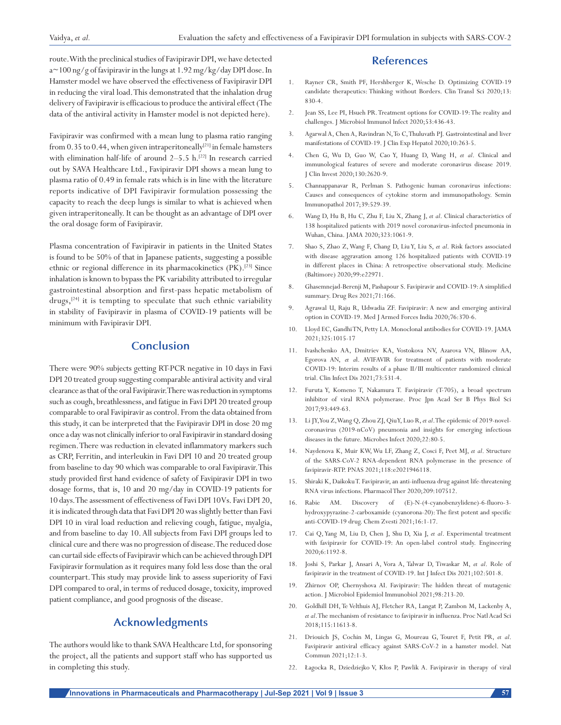route. With the preclinical studies of Favipiravir DPI, we have detected a~100 ng/g of favipiravir in the lungs at 1.92 mg/kg/day DPI dose. In Hamster model we have observed the effectiveness of Favipiravir DPI in reducing the viral load. This demonstrated that the inhalation drug delivery of Favipiravir is efficacious to produce the antiviral effect (The data of the antiviral activity in Hamster model is not depicted here).

Favipiravir was confirmed with a mean lung to plasma ratio ranging from  $0.35$  to  $0.44$ , when given intraperitoneally<sup>[21]</sup> in female hamsters with elimination half-life of around 2–5.5 h.<sup>[22]</sup> In research carried out by SAVA Healthcare Ltd., Favipiravir DPI shows a mean lung to plasma ratio of 0.49 in female rats which is in line with the literature reports indicative of DPI Favipiravir formulation possessing the capacity to reach the deep lungs is similar to what is achieved when given intraperitoneally. It can be thought as an advantage of DPI over the oral dosage form of Favipiravir.

Plasma concentration of Favipiravir in patients in the United States is found to be 50% of that in Japanese patients, suggesting a possible ethnic or regional difference in its pharmacokinetics (PK).<sup>[23]</sup> Since inhalation is known to bypass the PK variability attributed to irregular gastrointestinal absorption and first-pass hepatic metabolism of drugs, $[24]$  it is tempting to speculate that such ethnic variability in stability of Favipiravir in plasma of COVID-19 patients will be minimum with Favipiravir DPI.

## **Conclusion**

There were 90% subjects getting RT-PCR negative in 10 days in Favi DPI 20 treated group suggesting comparable antiviral activity and viral clearance as that of the oral Favipiravir. There was reduction in symptoms such as cough, breathlessness, and fatigue in Favi DPI 20 treated group comparable to oral Favipiravir as control. From the data obtained from this study, it can be interpreted that the Favipiravir DPI in dose 20 mg once a day was not clinically inferior to oral Favipiravir in standard dosing regimen. There was reduction in elevated inflammatory markers such as CRP, Ferritin, and interleukin in Favi DPI 10 and 20 treated group from baseline to day 90 which was comparable to oral Favipiravir. This study provided first hand evidence of safety of Favipiravir DPI in two dosage forms, that is, 10 and 20 mg/day in COVID-19 patients for 10 days. The assessment of effectiveness of Favi DPI 10 Vs. Favi DPI 20, it is indicated through data that Favi DPI 20 was slightly better than Favi DPI 10 in viral load reduction and relieving cough, fatigue, myalgia, and from baseline to day 10. All subjects from Favi DPI groups led to clinical cure and there was no progression of disease. The reduced dose can curtail side effects of Favipiravir which can be achieved through DPI Favipiravir formulation as it requires many fold less dose than the oral counterpart. This study may provide link to assess superiority of Favi DPI compared to oral, in terms of reduced dosage, toxicity, improved patient compliance, and good prognosis of the disease.

# **Acknowledgments**

The authors would like to thank SAVA Healthcare Ltd, for sponsoring the project, all the patients and support staff who has supported us in completing this study.

## **References**

- 1. Rayner CR, Smith PF, Hershberger K, Wesche D. Optimizing COVID-19 candidate therapeutics: Thinking without Borders. Clin Transl Sci 2020;13: 830-4.
- 2. Jean SS, Lee PI, Hsueh PR. Treatment options for COVID-19: The reality and challenges. J Microbiol Immunol Infect 2020;53:436-43.
- 3. Agarwal A, Chen A, Ravindran N, To C, Thuluvath PJ. Gastrointestinal and liver manifestations of COVID-19. J Clin Exp Hepatol 2020;10:263-5.
- 4. Chen G, Wu D, Guo W, Cao Y, Huang D, Wang H, *et al*. Clinical and immunological features of severe and moderate coronavirus disease 2019. J Clin Invest 2020;130:2620-9.
- 5. Channappanavar R, Perlman S. Pathogenic human coronavirus infections: Causes and consequences of cytokine storm and immunopathology. Semin Immunopathol 2017;39:529-39.
- 6. Wang D, Hu B, Hu C, Zhu F, Liu X, Zhang J, *et al*. Clinical characteristics of 138 hospitalized patients with 2019 novel coronavirus-infected pneumonia in Wuhan, China. JAMA 2020;323:1061-9.
- 7. Shao S, Zhao Z, Wang F, Chang D, Liu Y, Liu S, *et al*. Risk factors associated with disease aggravation among 126 hospitalized patients with COVID-19 in different places in China: A retrospective observational study. Medicine (Baltimore) 2020;99:e22971.
- 8. Ghasemnejad-Berenji M, Pashapour S. Favipiravir and COVID-19: A simplified summary. Drug Res 2021;71:166.
- 9. Agrawal U, Raju R, Udwadia ZF. Favipiravir: A new and emerging antiviral option in COVID-19. Med J Armed Forces India 2020;76:370-6.
- 10. Lloyd EC, Gandhi TN, Petty LA. Monoclonal antibodies for COVID-19. JAMA 2021;325:1015-17
- 11. Ivashchenko AA, Dmitriev KA, Vostokova NV, Azarova VN, Blinow AA, Egorova AN, *et a*l. AVIFAVIR for treatment of patients with moderate COVID-19: Interim results of a phase II/III multicenter randomized clinical trial. Clin Infect Dis 2021;73:531-4.
- 12. Furuta Y, Komeno T, Nakamura T. Favipiravir (T-705), a broad spectrum inhibitor of viral RNA polymerase. Proc Jpn Acad Ser B Phys Biol Sci 2017;93:449-63.
- 13. Li JY, You Z, Wang Q, Zhou ZJ, Qiu Y, Luo R, *et al*. The epidemic of 2019-novelcoronavirus (2019-nCoV) pneumonia and insights for emerging infectious diseases in the future. Microbes Infect 2020;22:80-5.
- 14. Naydenova K, Muir KW, Wu LF, Zhang Z, Cosci F, Peet MJ, *et al*. Structure of the SARS-CoV-2 RNA-dependent RNA polymerase in the presence of favipiravir-RTP. PNAS 2021;118:e2021946118.
- 15. Shiraki K, Daikoku T. Favipiravir, an anti-influenza drug against life-threatening RNA virus infections. Pharmacol Ther 2020;209:107512.
- 16. Rabie AM. Discovery of (E)-N-(4-cyanobenzylidene)-6-fluoro-3 hydroxypyrazine-2-carboxamide (cyanorona-20): The first potent and specific anti-COVID-19 drug. Chem Zvesti 2021;16:1-17.
- 17. Cai Q, Yang M, Liu D, Chen J, Shu D, Xia J, *et al*. Experimental treatment with favipiravir for COVID-19: An open-label control study. Engineering 2020;6:1192-8.
- 18. Joshi S, Parkar J, Ansari A, Vora A, Talwar D, Tiwaskar M, *et al*. Role of favipiravir in the treatment of COVID-19. Int J Infect Dis 2021;102:501-8.
- 19. Zhirnov OP, Chernyshova AI. Favipiravir: The hidden threat of mutagenic action. J Microbiol Epidemiol Immunobiol 2021;98:213-20.
- 20. Goldhill DH, Te Velthuis AJ, Fletcher RA, Langat P, Zambon M, Lackenby A, *et al*. The mechanism of resistance to favipiravir in influenza. Proc Natl Acad Sci 2018;115:11613-8.
- 21. Driouich JS, Cochin M, Lingas G, Moureau G, Touret F, Petit PR, *et al*. Favipiravir antiviral efficacy against SARS-CoV-2 in a hamster model. Nat Commun 2021;12:1-3.
- 22. Łagocka R, Dziedziejko V, Kłos P, Pawlik A. Favipiravir in therapy of viral